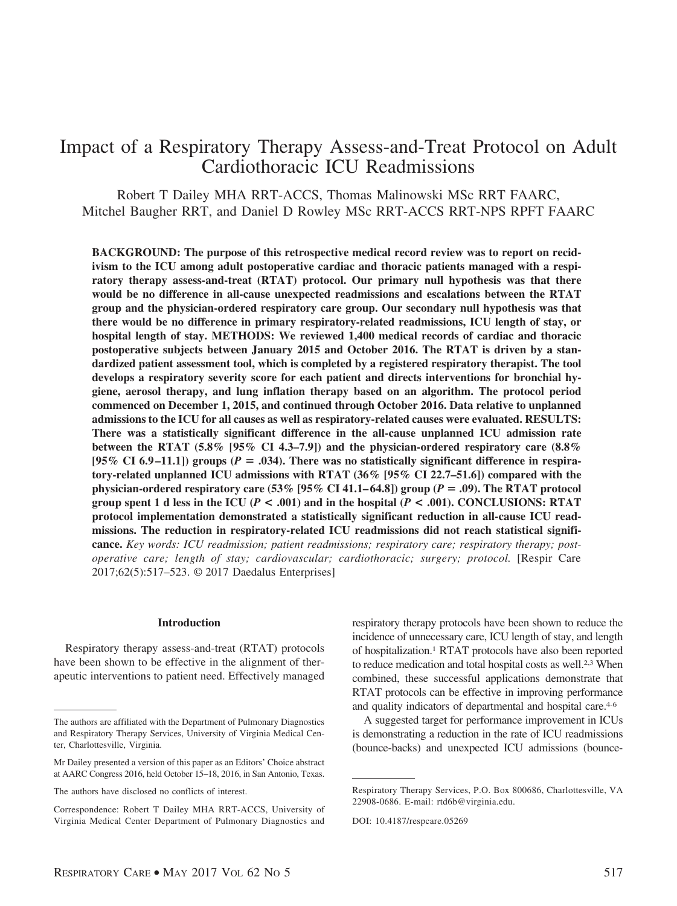# Impact of a Respiratory Therapy Assess-and-Treat Protocol on Adult Cardiothoracic ICU Readmissions

Robert T Dailey MHA RRT-ACCS, Thomas Malinowski MSc RRT FAARC, Mitchel Baugher RRT, and Daniel D Rowley MSc RRT-ACCS RRT-NPS RPFT FAARC

**BACKGROUND: The purpose of this retrospective medical record review was to report on recidivism to the ICU among adult postoperative cardiac and thoracic patients managed with a respiratory therapy assess-and-treat (RTAT) protocol. Our primary null hypothesis was that there would be no difference in all-cause unexpected readmissions and escalations between the RTAT group and the physician-ordered respiratory care group. Our secondary null hypothesis was that there would be no difference in primary respiratory-related readmissions, ICU length of stay, or hospital length of stay. METHODS: We reviewed 1,400 medical records of cardiac and thoracic postoperative subjects between January 2015 and October 2016. The RTAT is driven by a standardized patient assessment tool, which is completed by a registered respiratory therapist. The tool develops a respiratory severity score for each patient and directs interventions for bronchial hygiene, aerosol therapy, and lung inflation therapy based on an algorithm. The protocol period commenced on December 1, 2015, and continued through October 2016. Data relative to unplanned admissions to the ICU for all causes as well as respiratory-related causes were evaluated. RESULTS: There was a statistically significant difference in the all-cause unplanned ICU admission rate between the RTAT (5.8% [95% CI 4.3–7.9]) and the physician-ordered respiratory care (8.8%** [95% CI 6.9–11.1]) groups ( $P = .034$ ). There was no statistically significant difference in respira**tory-related unplanned ICU admissions with RTAT (36% [95% CI 22.7–51.6]) compared with the physician-ordered respiratory care (53% [95% CI 41.1– 64.8]) group (***P* - **.09). The RTAT protocol group spent 1 d less in the ICU (** $P < .001$ **) and in the hospital (** $P < .001$ **). CONCLUSIONS: RTAT protocol implementation demonstrated a statistically significant reduction in all-cause ICU readmissions. The reduction in respiratory-related ICU readmissions did not reach statistical significance.** *Key words: ICU readmission; patient readmissions; respiratory care; respiratory therapy; postoperative care; length of stay; cardiovascular; cardiothoracic; surgery; protocol.* [Respir Care 2017;62(5):517–523. © 2017 Daedalus Enterprises]

#### **Introduction**

Respiratory therapy assess-and-treat (RTAT) protocols have been shown to be effective in the alignment of therapeutic interventions to patient need. Effectively managed respiratory therapy protocols have been shown to reduce the incidence of unnecessary care, ICU length of stay, and length of hospitalization.1 RTAT protocols have also been reported to reduce medication and total hospital costs as well.2,3 When combined, these successful applications demonstrate that RTAT protocols can be effective in improving performance and quality indicators of departmental and hospital care.<sup>4-6</sup>

A suggested target for performance improvement in ICUs is demonstrating a reduction in the rate of ICU readmissions (bounce-backs) and unexpected ICU admissions (bounce-

The authors are affiliated with the Department of Pulmonary Diagnostics and Respiratory Therapy Services, University of Virginia Medical Center, Charlottesville, Virginia.

Mr Dailey presented a version of this paper as an Editors' Choice abstract at AARC Congress 2016, held October 15–18, 2016, in San Antonio, Texas.

The authors have disclosed no conflicts of interest.

Correspondence: Robert T Dailey MHA RRT-ACCS, University of Virginia Medical Center Department of Pulmonary Diagnostics and

Respiratory Therapy Services, P.O. Box 800686, Charlottesville, VA 22908-0686. E-mail: rtd6b@virginia.edu.

DOI: 10.4187/respcare.05269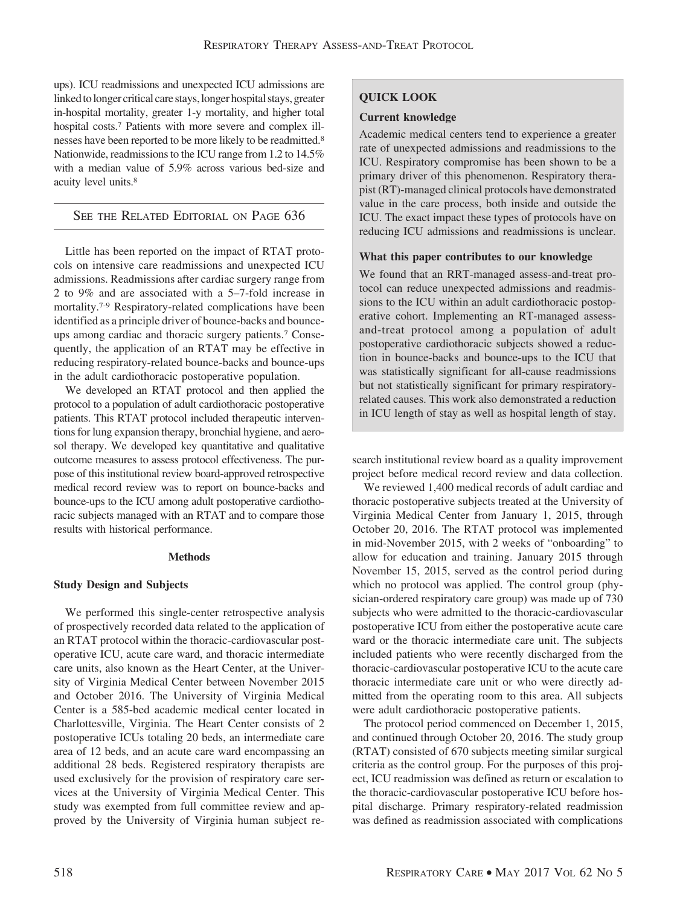ups). ICU readmissions and unexpected ICU admissions are linked to longer critical care stays, longer hospital stays, greater in-hospital mortality, greater 1-y mortality, and higher total hospital costs.7 Patients with more severe and complex illnesses have been reported to be more likely to be readmitted.8 Nationwide, readmissions to the ICU range from 1.2 to 14.5% with a median value of 5.9% across various bed-size and acuity level units.8

# SEE THE RELATED EDITORIAL ON PAGE 636

Little has been reported on the impact of RTAT protocols on intensive care readmissions and unexpected ICU admissions. Readmissions after cardiac surgery range from 2 to 9% and are associated with a 5–7-fold increase in mortality.7-9 Respiratory-related complications have been identified as a principle driver of bounce-backs and bounceups among cardiac and thoracic surgery patients.7 Consequently, the application of an RTAT may be effective in reducing respiratory-related bounce-backs and bounce-ups in the adult cardiothoracic postoperative population.

We developed an RTAT protocol and then applied the protocol to a population of adult cardiothoracic postoperative patients. This RTAT protocol included therapeutic interventions for lung expansion therapy, bronchial hygiene, and aerosol therapy. We developed key quantitative and qualitative outcome measures to assess protocol effectiveness. The purpose of this institutional review board-approved retrospective medical record review was to report on bounce-backs and bounce-ups to the ICU among adult postoperative cardiothoracic subjects managed with an RTAT and to compare those results with historical performance.

## **Methods**

## **Study Design and Subjects**

We performed this single-center retrospective analysis of prospectively recorded data related to the application of an RTAT protocol within the thoracic-cardiovascular postoperative ICU, acute care ward, and thoracic intermediate care units, also known as the Heart Center, at the University of Virginia Medical Center between November 2015 and October 2016. The University of Virginia Medical Center is a 585-bed academic medical center located in Charlottesville, Virginia. The Heart Center consists of 2 postoperative ICUs totaling 20 beds, an intermediate care area of 12 beds, and an acute care ward encompassing an additional 28 beds. Registered respiratory therapists are used exclusively for the provision of respiratory care services at the University of Virginia Medical Center. This study was exempted from full committee review and approved by the University of Virginia human subject re-

# **QUICK LOOK**

# **Current knowledge**

Academic medical centers tend to experience a greater rate of unexpected admissions and readmissions to the ICU. Respiratory compromise has been shown to be a primary driver of this phenomenon. Respiratory therapist (RT)-managed clinical protocols have demonstrated value in the care process, both inside and outside the ICU. The exact impact these types of protocols have on reducing ICU admissions and readmissions is unclear.

## **What this paper contributes to our knowledge**

We found that an RRT-managed assess-and-treat protocol can reduce unexpected admissions and readmissions to the ICU within an adult cardiothoracic postoperative cohort. Implementing an RT-managed assessand-treat protocol among a population of adult postoperative cardiothoracic subjects showed a reduction in bounce-backs and bounce-ups to the ICU that was statistically significant for all-cause readmissions but not statistically significant for primary respiratoryrelated causes. This work also demonstrated a reduction in ICU length of stay as well as hospital length of stay.

search institutional review board as a quality improvement project before medical record review and data collection.

We reviewed 1,400 medical records of adult cardiac and thoracic postoperative subjects treated at the University of Virginia Medical Center from January 1, 2015, through October 20, 2016. The RTAT protocol was implemented in mid-November 2015, with 2 weeks of "onboarding" to allow for education and training. January 2015 through November 15, 2015, served as the control period during which no protocol was applied. The control group (physician-ordered respiratory care group) was made up of 730 subjects who were admitted to the thoracic-cardiovascular postoperative ICU from either the postoperative acute care ward or the thoracic intermediate care unit. The subjects included patients who were recently discharged from the thoracic-cardiovascular postoperative ICU to the acute care thoracic intermediate care unit or who were directly admitted from the operating room to this area. All subjects were adult cardiothoracic postoperative patients.

The protocol period commenced on December 1, 2015, and continued through October 20, 2016. The study group (RTAT) consisted of 670 subjects meeting similar surgical criteria as the control group. For the purposes of this project, ICU readmission was defined as return or escalation to the thoracic-cardiovascular postoperative ICU before hospital discharge. Primary respiratory-related readmission was defined as readmission associated with complications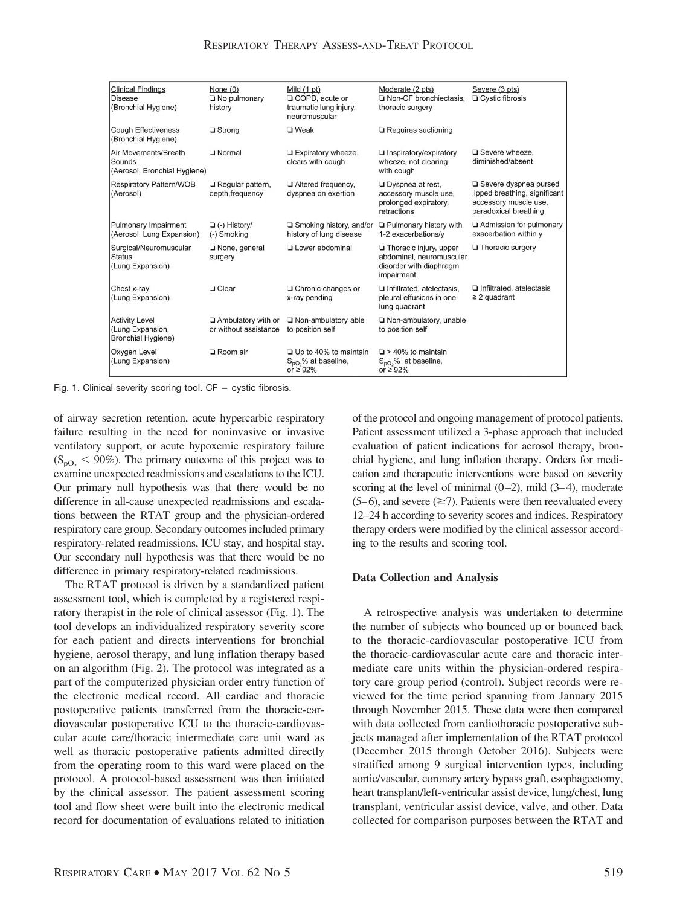| <b>Clinical Findings</b><br><b>Disease</b><br>(Bronchial Hygiene)      | None $(0)$<br>$\Box$ No pulmonary<br>history       | Mild $(1 pt)$<br>□ COPD, acute or<br>traumatic lung injury,<br>neuromuscular     | Moderate (2 pts)<br>Non-CF bronchiectasis.<br>thoracic surgery                                     | Severe (3 pts)<br>$\Box$ Cystic fibrosis                                                                 |
|------------------------------------------------------------------------|----------------------------------------------------|----------------------------------------------------------------------------------|----------------------------------------------------------------------------------------------------|----------------------------------------------------------------------------------------------------------|
| <b>Cough Effectiveness</b><br>(Bronchial Hygiene)                      | $\Box$ Strong                                      | $\Box$ Weak                                                                      | $\Box$ Requires suctioning                                                                         |                                                                                                          |
| Air Movements/Breath<br>Sounds<br>(Aerosol, Bronchial Hygiene)         | <b>D</b> Normal                                    | $\Box$ Expiratory wheeze,<br>clears with cough                                   | $\Box$ Inspiratory/expiratory<br>wheeze, not clearing<br>with cough                                | Severe wheeze,<br>diminished/absent                                                                      |
| <b>Respiratory Pattern/WOB</b><br>(Aerosol)                            | $\Box$ Regular pattern,<br>depth, frequency        | Altered frequency,<br>dyspnea on exertion                                        | $\Box$ Dyspnea at rest,<br>accessory muscle use,<br>prolonged expiratory.<br>retractions           | Severe dyspnea pursed<br>lipped breathing, significant<br>accessory muscle use,<br>paradoxical breathing |
| Pulmonary Impairment<br>(Aerosol, Lung Expansion)                      | $\Box$ (-) History/<br>(-) Smoking                 | $\Box$ Smoking history, and/or<br>history of lung disease                        | $\Box$ Pulmonary history with<br>1-2 exacerbations/v                                               | Admission for pulmonary<br>exacerbation within y                                                         |
| Surgical/Neuromuscular<br>Status<br>(Lung Expansion)                   | None, general<br>surgery                           | □ Lower abdominal                                                                | $\Box$ Thoracic injury, upper<br>abdominal, neuromuscular<br>disorder with diaphragm<br>impairment | $\Box$ Thoracic surgery                                                                                  |
| Chest x-ray<br>(Lung Expansion)                                        | <b>Q</b> Clear                                     | □ Chronic changes or<br>x-ray pending                                            | $\Box$ Infiltrated, atelectasis,<br>pleural effusions in one<br>lung quadrant                      | $\Box$ Infiltrated, atelectasis<br>$\geq$ 2 quadrant                                                     |
| <b>Activity Level</b><br>(Lung Expansion,<br><b>Bronchial Hygiene)</b> | $\Box$ Ambulatory with or<br>or without assistance | $\Box$ Non-ambulatory, able<br>to position self                                  | $\Box$ Non-ambulatory, unable<br>to position self                                                  |                                                                                                          |
| Oxygen Level<br>(Lung Expansion)                                       | □ Room air                                         | $\Box$ Up to 40% to maintain<br>$S_{\text{DO}}$ % at baseline,<br>or $\geq 92\%$ | $\Box$ > 40% to maintain<br>$S_{\text{pO}_2}$ % at baseline,<br>or $\geq 92\%$                     |                                                                                                          |

Fig. 1. Clinical severity scoring tool.  $CF = \text{cystic fibrosis.}$ 

of airway secretion retention, acute hypercarbic respiratory failure resulting in the need for noninvasive or invasive ventilatory support, or acute hypoxemic respiratory failure  $(S_{\text{pO}_2} < 90\%)$ . The primary outcome of this project was to examine unexpected readmissions and escalations to the ICU. Our primary null hypothesis was that there would be no difference in all-cause unexpected readmissions and escalations between the RTAT group and the physician-ordered respiratory care group. Secondary outcomes included primary respiratory-related readmissions, ICU stay, and hospital stay. Our secondary null hypothesis was that there would be no difference in primary respiratory-related readmissions.

The RTAT protocol is driven by a standardized patient assessment tool, which is completed by a registered respiratory therapist in the role of clinical assessor (Fig. 1). The tool develops an individualized respiratory severity score for each patient and directs interventions for bronchial hygiene, aerosol therapy, and lung inflation therapy based on an algorithm (Fig. 2). The protocol was integrated as a part of the computerized physician order entry function of the electronic medical record. All cardiac and thoracic postoperative patients transferred from the thoracic-cardiovascular postoperative ICU to the thoracic-cardiovascular acute care/thoracic intermediate care unit ward as well as thoracic postoperative patients admitted directly from the operating room to this ward were placed on the protocol. A protocol-based assessment was then initiated by the clinical assessor. The patient assessment scoring tool and flow sheet were built into the electronic medical record for documentation of evaluations related to initiation

of the protocol and ongoing management of protocol patients. Patient assessment utilized a 3-phase approach that included evaluation of patient indications for aerosol therapy, bronchial hygiene, and lung inflation therapy. Orders for medication and therapeutic interventions were based on severity scoring at the level of minimal  $(0-2)$ , mild  $(3-4)$ , moderate  $(5-6)$ , and severe  $(\geq 7)$ . Patients were then reevaluated every 12–24 h according to severity scores and indices. Respiratory therapy orders were modified by the clinical assessor according to the results and scoring tool.

## **Data Collection and Analysis**

A retrospective analysis was undertaken to determine the number of subjects who bounced up or bounced back to the thoracic-cardiovascular postoperative ICU from the thoracic-cardiovascular acute care and thoracic intermediate care units within the physician-ordered respiratory care group period (control). Subject records were reviewed for the time period spanning from January 2015 through November 2015. These data were then compared with data collected from cardiothoracic postoperative subjects managed after implementation of the RTAT protocol (December 2015 through October 2016). Subjects were stratified among 9 surgical intervention types, including aortic/vascular, coronary artery bypass graft, esophagectomy, heart transplant/left-ventricular assist device, lung/chest, lung transplant, ventricular assist device, valve, and other. Data collected for comparison purposes between the RTAT and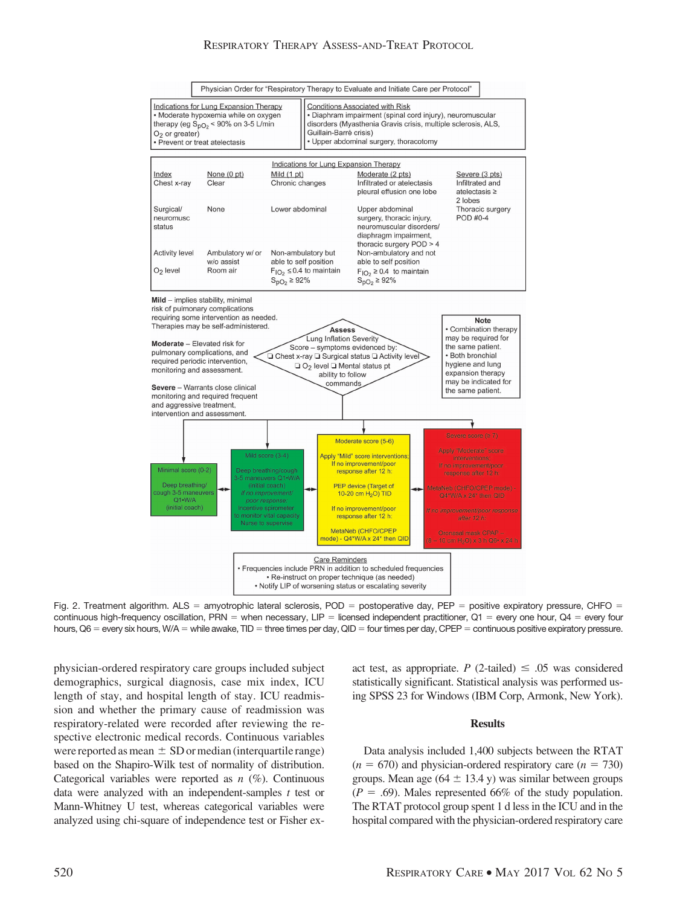## RESPIRATORY THERAPY ASSESS-AND-TREAT PROTOCOL



Fig. 2. Treatment algorithm.  $ALS =$  amyotrophic lateral sclerosis,  $POD =$  postoperative day,  $PEP =$  positive expiratory pressure, CHFO = continuous high-frequency oscillation, PRN = when necessary, LIP = licensed independent practitioner,  $Q1$  = every one hour,  $Q4$  = every four hours, Q6 = every six hours, W/A = while awake, TID = three times per day, QID = four times per day, CPEP = continuous positive expiratory pressure.

physician-ordered respiratory care groups included subject demographics, surgical diagnosis, case mix index, ICU length of stay, and hospital length of stay. ICU readmission and whether the primary cause of readmission was respiratory-related were recorded after reviewing the respective electronic medical records. Continuous variables were reported as mean  $\pm$  SD or median (interquartile range) based on the Shapiro-Wilk test of normality of distribution. Categorical variables were reported as *n* (%). Continuous data were analyzed with an independent-samples *t* test or Mann-Whitney U test, whereas categorical variables were analyzed using chi-square of independence test or Fisher exact test, as appropriate. *P* (2-tailed)  $\leq .05$  was considered statistically significant. Statistical analysis was performed using SPSS 23 for Windows (IBM Corp, Armonk, New York).

## **Results**

Data analysis included 1,400 subjects between the RTAT  $(n = 670)$  and physician-ordered respiratory care  $(n = 730)$ groups. Mean age  $(64 \pm 13.4 \text{ y})$  was similar between groups  $(P = .69)$ . Males represented 66% of the study population. The RTAT protocol group spent 1 d less in the ICU and in the hospital compared with the physician-ordered respiratory care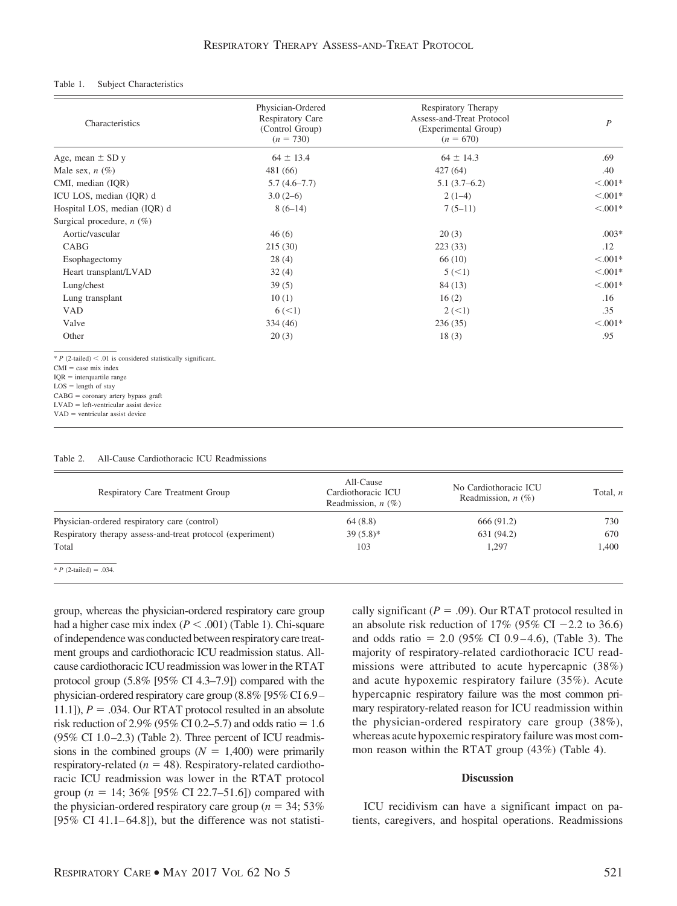#### Table 1. Subject Characteristics

| Characteristics                                                                                                                                                                                                                                                              | Physician-Ordered<br><b>Respiratory Care</b><br>(Control Group)<br>$(n = 730)$ | Respiratory Therapy<br>Assess-and-Treat Protocol<br>(Experimental Group)<br>$(n = 670)$ | P          |
|------------------------------------------------------------------------------------------------------------------------------------------------------------------------------------------------------------------------------------------------------------------------------|--------------------------------------------------------------------------------|-----------------------------------------------------------------------------------------|------------|
| Age, mean $\pm$ SD y                                                                                                                                                                                                                                                         | $64 \pm 13.4$                                                                  | $64 \pm 14.3$                                                                           | .69        |
| Male sex, $n$ (%)                                                                                                                                                                                                                                                            | 481 (66)                                                                       | 427(64)                                                                                 | .40        |
| CMI, median (IQR)                                                                                                                                                                                                                                                            | $5.7(4.6-7.7)$                                                                 | $5.1(3.7-6.2)$                                                                          | $< 0.001*$ |
| ICU LOS, median (IQR) d                                                                                                                                                                                                                                                      | $3.0(2-6)$                                                                     | $2(1-4)$                                                                                | $< 0.001*$ |
| Hospital LOS, median (IOR) d                                                                                                                                                                                                                                                 | $8(6-14)$                                                                      | $7(5-11)$                                                                               | $< 0.001*$ |
| Surgical procedure, $n$ (%)                                                                                                                                                                                                                                                  |                                                                                |                                                                                         |            |
| Aortic/vascular                                                                                                                                                                                                                                                              | 46(6)                                                                          | 20(3)                                                                                   | $.003*$    |
| CABG                                                                                                                                                                                                                                                                         | 215(30)                                                                        | 223(33)                                                                                 | .12        |
| Esophagectomy                                                                                                                                                                                                                                                                | 28(4)                                                                          | 66(10)                                                                                  | $< 0.001*$ |
| Heart transplant/LVAD                                                                                                                                                                                                                                                        | 32(4)                                                                          | 5 (< 1)                                                                                 | $< 0.001*$ |
| Lung/chest                                                                                                                                                                                                                                                                   | 39(5)                                                                          | 84 (13)                                                                                 | $< 0.001*$ |
| Lung transplant                                                                                                                                                                                                                                                              | 10(1)                                                                          | 16(2)                                                                                   | .16        |
| <b>VAD</b>                                                                                                                                                                                                                                                                   | 6 (< 1)                                                                        | 2 (< 1)                                                                                 | .35        |
| Valve                                                                                                                                                                                                                                                                        | 334 (46)                                                                       | 236(35)                                                                                 | $< 0.001*$ |
| Other                                                                                                                                                                                                                                                                        | 20(3)                                                                          | 18(3)                                                                                   | .95        |
| $* P$ (2-tailed) < .01 is considered statistically significant.<br>$CMI = case mix index$<br>$IQR = interquartile range$<br>$LOS = length of stay$<br>$CABG = \text{coronary artery bypass}$<br>$LVAD = left-ventricular$ assist device<br>$VAD$ = ventricular assist device |                                                                                |                                                                                         |            |

| Table 2. |  | All-Cause Cardiothoracic ICU Readmissions |  |  |
|----------|--|-------------------------------------------|--|--|
|----------|--|-------------------------------------------|--|--|

| Respiratory Care Treatment Group                           | All-Cause<br>Cardiothoracic ICU<br>Readmission, $n$ (%) | No Cardiothoracic ICU<br>Readmission, $n$ (%) | Total, $n$ |
|------------------------------------------------------------|---------------------------------------------------------|-----------------------------------------------|------------|
| Physician-ordered respiratory care (control)               | 64(8.8)                                                 | 666 (91.2)                                    | 730        |
| Respiratory therapy assess-and-treat protocol (experiment) | $39(5.8)$ *                                             | 631 (94.2)                                    | 670        |
| Total                                                      | 103                                                     | 1.297                                         | 1.400      |
| * <i>P</i> (2-tailed) = .034.                              |                                                         |                                               |            |

group, whereas the physician-ordered respiratory care group had a higher case mix index  $(P < .001)$  (Table 1). Chi-square of independence was conducted between respiratory care treatment groups and cardiothoracic ICU readmission status. Allcause cardiothoracic ICU readmission was lower in the RTAT protocol group (5.8% [95% CI 4.3–7.9]) compared with the physician-ordered respiratory care group (8.8% [95% CI 6.9 – 11.1]),  $P = .034$ . Our RTAT protocol resulted in an absolute risk reduction of 2.9% (95% CI 0.2–5.7) and odds ratio  $= 1.6$  $(95\% \text{ CI } 1.0 - 2.3)$  (Table 2). Three percent of ICU readmissions in the combined groups  $(N = 1,400)$  were primarily respiratory-related ( $n = 48$ ). Respiratory-related cardiothoracic ICU readmission was lower in the RTAT protocol group ( $n = 14$ ; 36% [95% CI 22.7–51.6]) compared with the physician-ordered respiratory care group ( $n = 34$ ; 53%) [ $95\%$  CI 41.1–64.8]), but the difference was not statistically significant ( $P = .09$ ). Our RTAT protocol resulted in an absolute risk reduction of 17% (95% CI  $-2.2$  to 36.6) and odds ratio =  $2.0$  (95% CI 0.9-4.6), (Table 3). The majority of respiratory-related cardiothoracic ICU readmissions were attributed to acute hypercapnic (38%) and acute hypoxemic respiratory failure (35%). Acute hypercapnic respiratory failure was the most common primary respiratory-related reason for ICU readmission within the physician-ordered respiratory care group (38%), whereas acute hypoxemic respiratory failure was most common reason within the RTAT group (43%) (Table 4).

## **Discussion**

ICU recidivism can have a significant impact on patients, caregivers, and hospital operations. Readmissions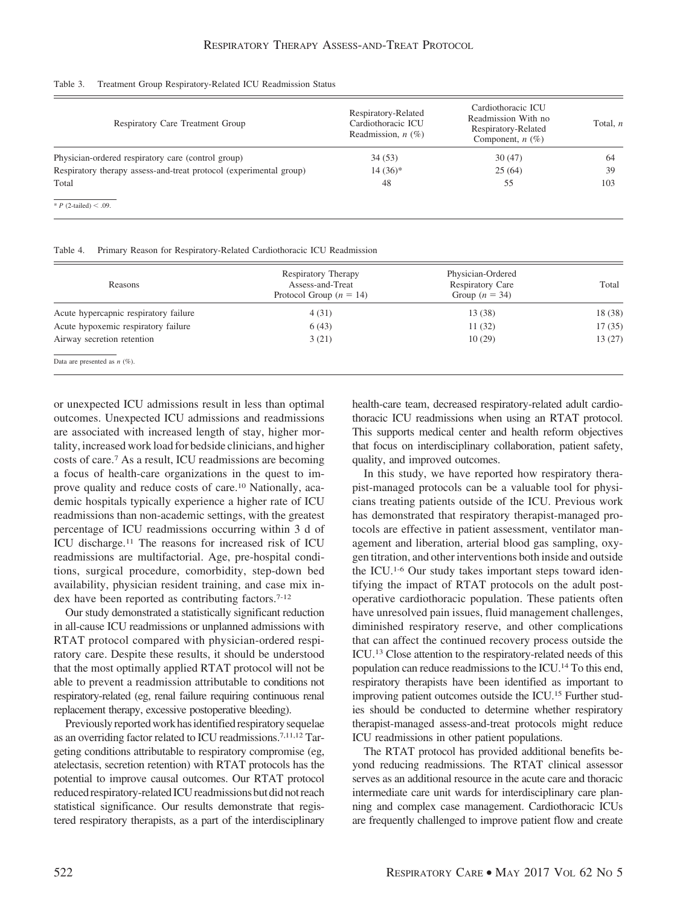#### Table 3. Treatment Group Respiratory-Related ICU Readmission Status

| Respiratory Care Treatment Group                                   | Respiratory-Related<br>Cardiothoracic ICU<br>Readmission, $n$ (%) | Cardiothoracic ICU<br>Readmission With no<br>Respiratory-Related<br>Component, $n$ (%) | Total, n |
|--------------------------------------------------------------------|-------------------------------------------------------------------|----------------------------------------------------------------------------------------|----------|
| Physician-ordered respiratory care (control group)                 | 34 (53)                                                           | 30(47)                                                                                 | 64       |
| Respiratory therapy assess-and-treat protocol (experimental group) | $14(36)*$                                                         | 25(64)                                                                                 | 39       |
| Total                                                              | 48                                                                | 55                                                                                     | 103      |
| * <i>P</i> (2-tailed) < .09.                                       |                                                                   |                                                                                        |          |

| Table 4. |  |  | Primary Reason for Respiratory-Related Cardiothoracic ICU Readmission |  |  |  |
|----------|--|--|-----------------------------------------------------------------------|--|--|--|
|----------|--|--|-----------------------------------------------------------------------|--|--|--|

| Reasons                               | Respiratory Therapy<br>Assess-and-Treat<br>Protocol Group ( $n = 14$ ) | Physician-Ordered<br><b>Respiratory Care</b><br>Group $(n = 34)$ | Total   |
|---------------------------------------|------------------------------------------------------------------------|------------------------------------------------------------------|---------|
| Acute hypercapnic respiratory failure | 4(31)                                                                  | 13 (38)                                                          | 18 (38) |
| Acute hypoxemic respiratory failure   | 6(43)                                                                  | 11(32)                                                           | 17(35)  |
| Airway secretion retention            | 3(21)                                                                  | 10(29)                                                           | 13(27)  |
| Data are presented as $n$ (%).        |                                                                        |                                                                  |         |

or unexpected ICU admissions result in less than optimal outcomes. Unexpected ICU admissions and readmissions are associated with increased length of stay, higher mortality, increased work load for bedside clinicians, and higher costs of care.7 As a result, ICU readmissions are becoming a focus of health-care organizations in the quest to improve quality and reduce costs of care.10 Nationally, academic hospitals typically experience a higher rate of ICU readmissions than non-academic settings, with the greatest percentage of ICU readmissions occurring within 3 d of ICU discharge.11 The reasons for increased risk of ICU readmissions are multifactorial. Age, pre-hospital conditions, surgical procedure, comorbidity, step-down bed availability, physician resident training, and case mix index have been reported as contributing factors.<sup>7-12</sup>

Our study demonstrated a statistically significant reduction in all-cause ICU readmissions or unplanned admissions with RTAT protocol compared with physician-ordered respiratory care. Despite these results, it should be understood that the most optimally applied RTAT protocol will not be able to prevent a readmission attributable to conditions not respiratory-related (eg, renal failure requiring continuous renal replacement therapy, excessive postoperative bleeding).

Previously reported work has identified respiratory sequelae as an overriding factor related to ICU readmissions.7,11,12 Targeting conditions attributable to respiratory compromise (eg, atelectasis, secretion retention) with RTAT protocols has the potential to improve causal outcomes. Our RTAT protocol reduced respiratory-related ICU readmissions but did not reach statistical significance. Our results demonstrate that registered respiratory therapists, as a part of the interdisciplinary health-care team, decreased respiratory-related adult cardiothoracic ICU readmissions when using an RTAT protocol. This supports medical center and health reform objectives that focus on interdisciplinary collaboration, patient safety, quality, and improved outcomes.

In this study, we have reported how respiratory therapist-managed protocols can be a valuable tool for physicians treating patients outside of the ICU. Previous work has demonstrated that respiratory therapist-managed protocols are effective in patient assessment, ventilator management and liberation, arterial blood gas sampling, oxygen titration, and other interventions both inside and outside the ICU.1-6 Our study takes important steps toward identifying the impact of RTAT protocols on the adult postoperative cardiothoracic population. These patients often have unresolved pain issues, fluid management challenges, diminished respiratory reserve, and other complications that can affect the continued recovery process outside the ICU.13 Close attention to the respiratory-related needs of this population can reduce readmissions to the ICU.14 To this end, respiratory therapists have been identified as important to improving patient outcomes outside the ICU.15 Further studies should be conducted to determine whether respiratory therapist-managed assess-and-treat protocols might reduce ICU readmissions in other patient populations.

The RTAT protocol has provided additional benefits beyond reducing readmissions. The RTAT clinical assessor serves as an additional resource in the acute care and thoracic intermediate care unit wards for interdisciplinary care planning and complex case management. Cardiothoracic ICUs are frequently challenged to improve patient flow and create